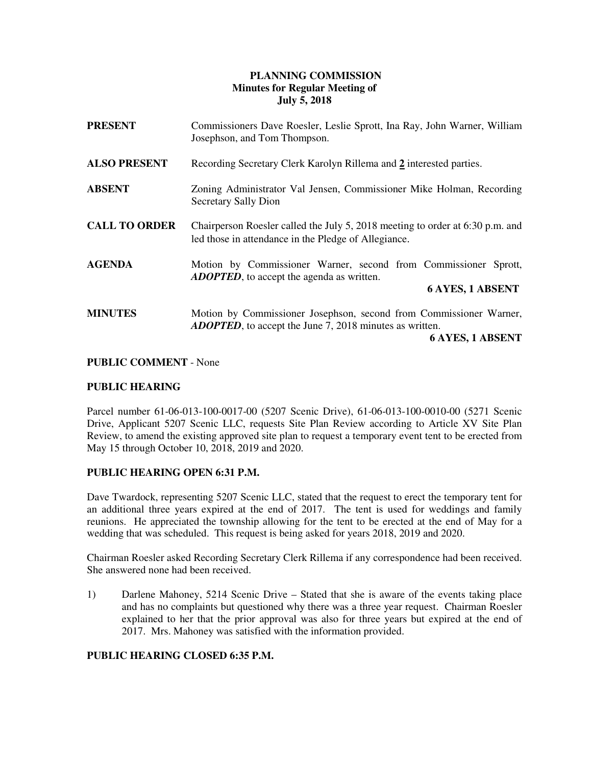# **PLANNING COMMISSION Minutes for Regular Meeting of July 5, 2018**

| <b>PRESENT</b>       | Commissioners Dave Roesler, Leslie Sprott, Ina Ray, John Warner, William<br>Josephson, and Tom Thompson.                                                         |
|----------------------|------------------------------------------------------------------------------------------------------------------------------------------------------------------|
| <b>ALSO PRESENT</b>  | Recording Secretary Clerk Karolyn Rillema and 2 interested parties.                                                                                              |
| <b>ABSENT</b>        | Zoning Administrator Val Jensen, Commissioner Mike Holman, Recording<br>Secretary Sally Dion                                                                     |
| <b>CALL TO ORDER</b> | Chairperson Roesler called the July 5, 2018 meeting to order at 6:30 p.m. and<br>led those in attendance in the Pledge of Allegiance.                            |
| <b>AGENDA</b>        | Motion by Commissioner Warner, second from Commissioner Sprott,<br><b>ADOPTED</b> , to accept the agenda as written.<br><b>6 AYES, 1 ABSENT</b>                  |
| <b>MINUTES</b>       | Motion by Commissioner Josephson, second from Commissioner Warner,<br><b>ADOPTED</b> , to accept the June 7, 2018 minutes as written.<br><b>6 AYES, 1 ABSENT</b> |

### **PUBLIC COMMENT** - None

### **PUBLIC HEARING**

Parcel number 61-06-013-100-0017-00 (5207 Scenic Drive), 61-06-013-100-0010-00 (5271 Scenic Drive, Applicant 5207 Scenic LLC, requests Site Plan Review according to Article XV Site Plan Review, to amend the existing approved site plan to request a temporary event tent to be erected from May 15 through October 10, 2018, 2019 and 2020.

## **PUBLIC HEARING OPEN 6:31 P.M.**

Dave Twardock, representing 5207 Scenic LLC, stated that the request to erect the temporary tent for an additional three years expired at the end of 2017. The tent is used for weddings and family reunions. He appreciated the township allowing for the tent to be erected at the end of May for a wedding that was scheduled. This request is being asked for years 2018, 2019 and 2020.

Chairman Roesler asked Recording Secretary Clerk Rillema if any correspondence had been received. She answered none had been received.

1) Darlene Mahoney, 5214 Scenic Drive – Stated that she is aware of the events taking place and has no complaints but questioned why there was a three year request. Chairman Roesler explained to her that the prior approval was also for three years but expired at the end of 2017. Mrs. Mahoney was satisfied with the information provided.

## **PUBLIC HEARING CLOSED 6:35 P.M.**